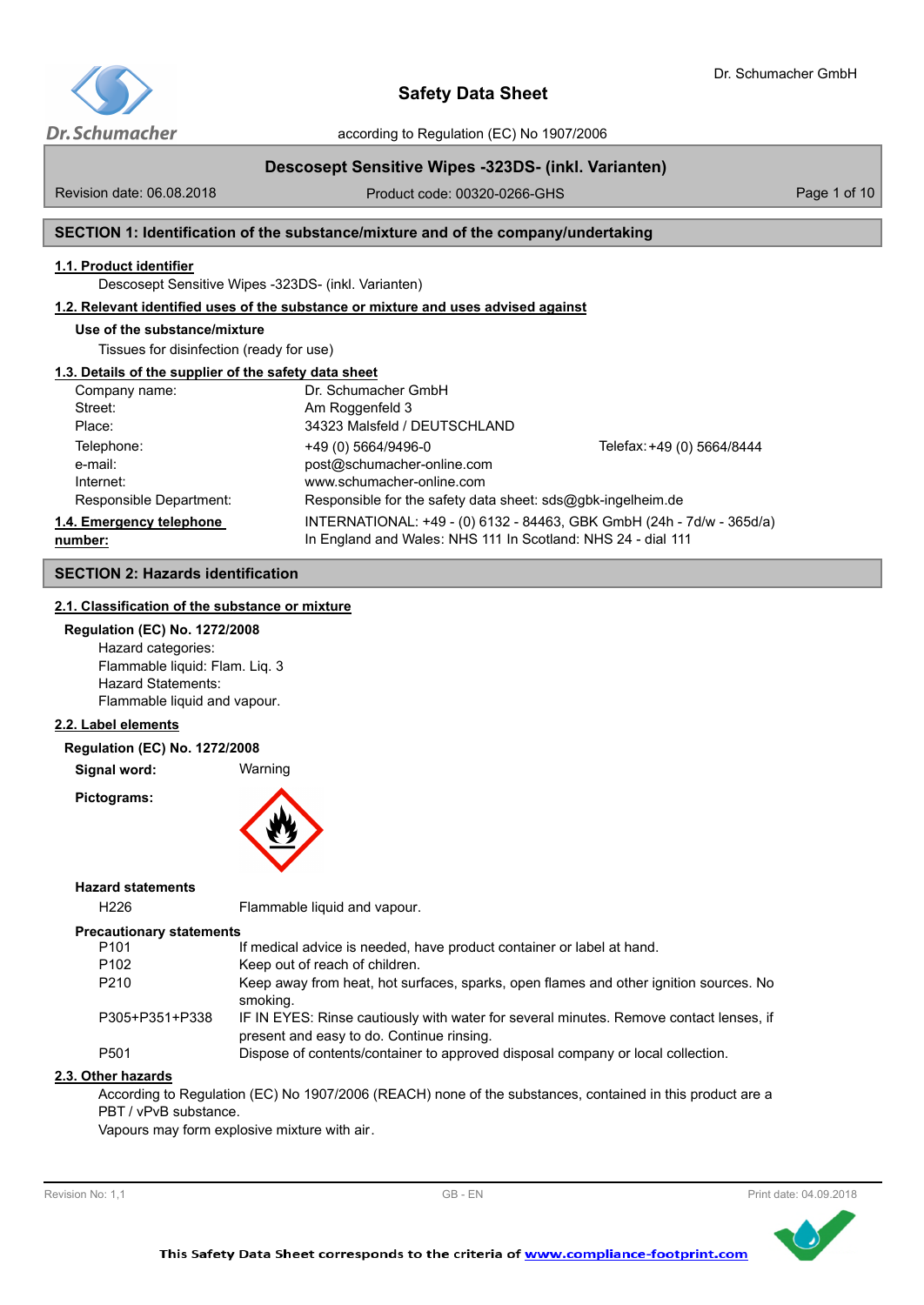

according to Regulation (EC) No 1907/2006

# **Descosept Sensitive Wipes -323DS- (inkl. Varianten)**

Revision date: 06.08.2018

Product code: 00320-0266-GHS Product code: 00320-0266-GHS

## **SECTION 1: Identification of the substance/mixture and of the company/undertaking**

## **1.1. Product identifier**

Descosept Sensitive Wipes -323DS- (inkl. Varianten)

### **1.2. Relevant identified uses of the substance or mixture and uses advised against**

## **Use of the substance/mixture**

Tissues for disinfection (ready for use)

## **1.3. Details of the supplier of the safety data sheet**

| Company name:                       | Dr. Schumacher GmbH                                                                                                                   |                            |
|-------------------------------------|---------------------------------------------------------------------------------------------------------------------------------------|----------------------------|
| Street:                             | Am Roggenfeld 3                                                                                                                       |                            |
| Place:                              | 34323 Malsfeld / DEUTSCHLAND                                                                                                          |                            |
| Telephone:                          | +49 (0) 5664/9496-0                                                                                                                   | Telefax: +49 (0) 5664/8444 |
| e-mail:                             | post@schumacher-online.com                                                                                                            |                            |
| Internet:                           | www.schumacher-online.com                                                                                                             |                            |
| Responsible Department:             | Responsible for the safety data sheet: $sds@q$ <sub>b</sub> k-ingelheim.de                                                            |                            |
| 1.4. Emergency telephone<br>number: | INTERNATIONAL: +49 - (0) 6132 - 84463, GBK GmbH (24h - 7d/w - 365d/a)<br>In England and Wales: NHS 111 In Scotland: NHS 24 - dial 111 |                            |

## **SECTION 2: Hazards identification**

## **2.1. Classification of the substance or mixture**

**Regulation (EC) No. 1272/2008** Hazard categories: Flammable liquid: Flam. Liq. 3 Hazard Statements: Flammable liquid and vapour.

## **2.2. Label elements**

#### **Regulation (EC) No. 1272/2008**

**Signal word:** Warning

**Pictograms:**



### **Hazard statements**

H226 Flammable liquid and vapour.

#### **Precautionary statements**

| P <sub>101</sub> | If medical advice is needed, have product container or label at hand.                                                               |
|------------------|-------------------------------------------------------------------------------------------------------------------------------------|
| P <sub>102</sub> | Keep out of reach of children.                                                                                                      |
| P <sub>210</sub> | Keep away from heat, hot surfaces, sparks, open flames and other ignition sources. No<br>smoking.                                   |
| P305+P351+P338   | IF IN EYES: Rinse cautiously with water for several minutes. Remove contact lenses, if<br>present and easy to do. Continue rinsing. |
| P <sub>501</sub> | Dispose of contents/container to approved disposal company or local collection.                                                     |

#### **2.3. Other hazards**

According to Regulation (EC) No 1907/2006 (REACH) none of the substances, contained in this product are a PBT / vPvB substance.

Vapours may form explosive mixture with air.



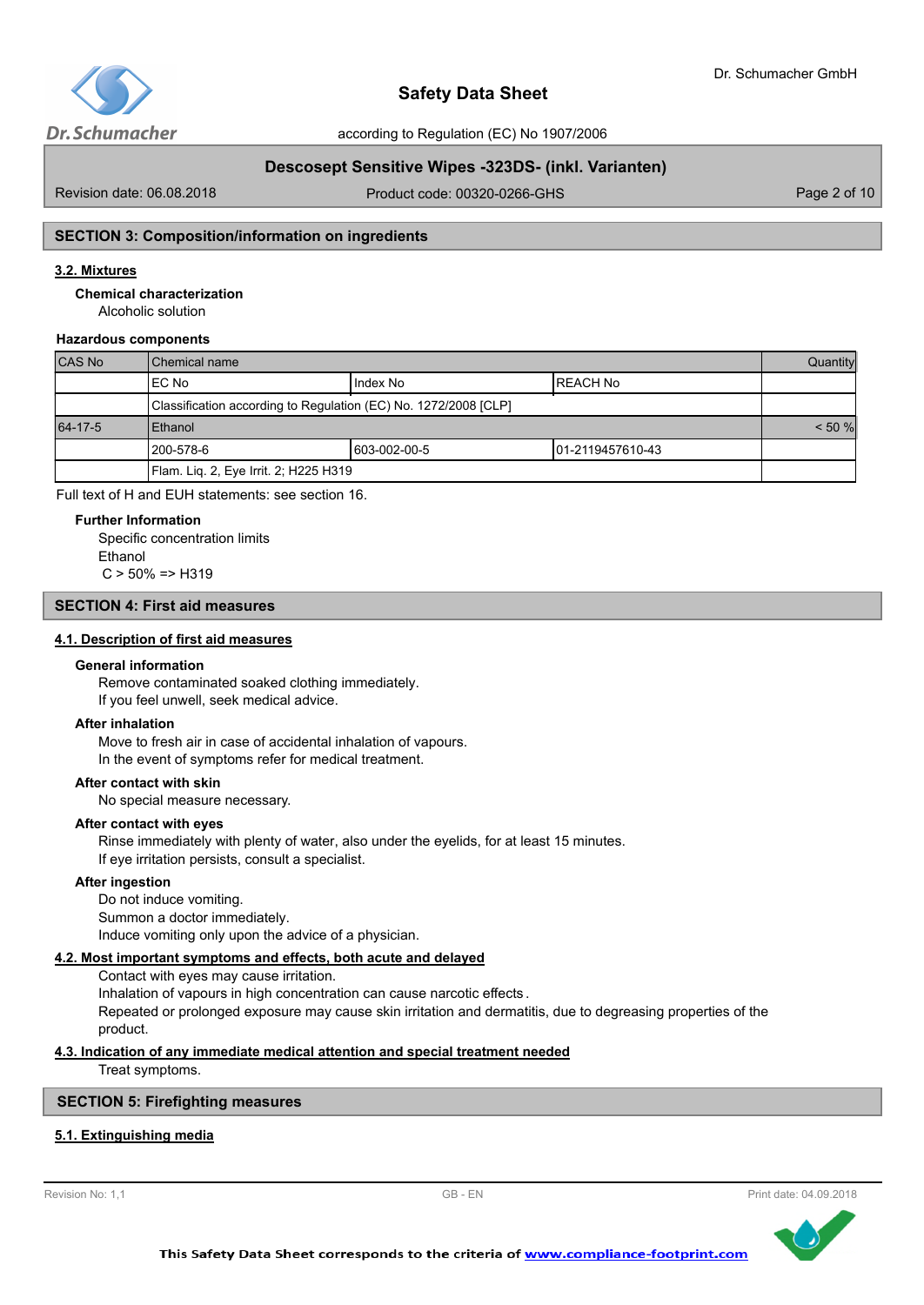

# **Descosept Sensitive Wipes -323DS- (inkl. Varianten)**

Revision date: 06.08.2018

Product code: 00320-0266-GHS Product code: 00320-0266-GHS

## **SECTION 3: Composition/information on ingredients**

## **3.2. Mixtures**

**Chemical characterization**

Alcoholic solution

## **Hazardous components**

| <b>CAS No</b> | l Chemical name                                                 |              |                   | Quantity |
|---------------|-----------------------------------------------------------------|--------------|-------------------|----------|
|               | IEC No                                                          | IIndex No    | IREACH No         |          |
|               | Classification according to Regulation (EC) No. 1272/2008 [CLP] |              |                   |          |
| 64-17-5       | <b>Ethanol</b>                                                  |              |                   |          |
|               | l 200-578-6                                                     | 603-002-00-5 | 101-2119457610-43 |          |
|               | Flam. Liq. 2, Eye Irrit. 2; H225 H319                           |              |                   |          |

Full text of H and EUH statements: see section 16.

#### **Further Information**

Specific concentration limits Ethanol  $C > 50\% = > H319$ 

## **SECTION 4: First aid measures**

## **4.1. Description of first aid measures**

#### **General information**

Remove contaminated soaked clothing immediately. If you feel unwell, seek medical advice.

#### **After inhalation**

Move to fresh air in case of accidental inhalation of vapours. In the event of symptoms refer for medical treatment.

#### **After contact with skin**

No special measure necessary.

#### **After contact with eyes**

Rinse immediately with plenty of water, also under the eyelids, for at least 15 minutes. If eye irritation persists, consult a specialist.

### **After ingestion**

Do not induce vomiting. Summon a doctor immediately. Induce vomiting only upon the advice of a physician.

## **4.2. Most important symptoms and effects, both acute and delayed**

Contact with eyes may cause irritation. Inhalation of vapours in high concentration can cause narcotic effects . Repeated or prolonged exposure may cause skin irritation and dermatitis, due to degreasing properties of the product.

#### **4.3. Indication of any immediate medical attention and special treatment needed**

Treat symptoms.

## **SECTION 5: Firefighting measures**

## **5.1. Extinguishing media**



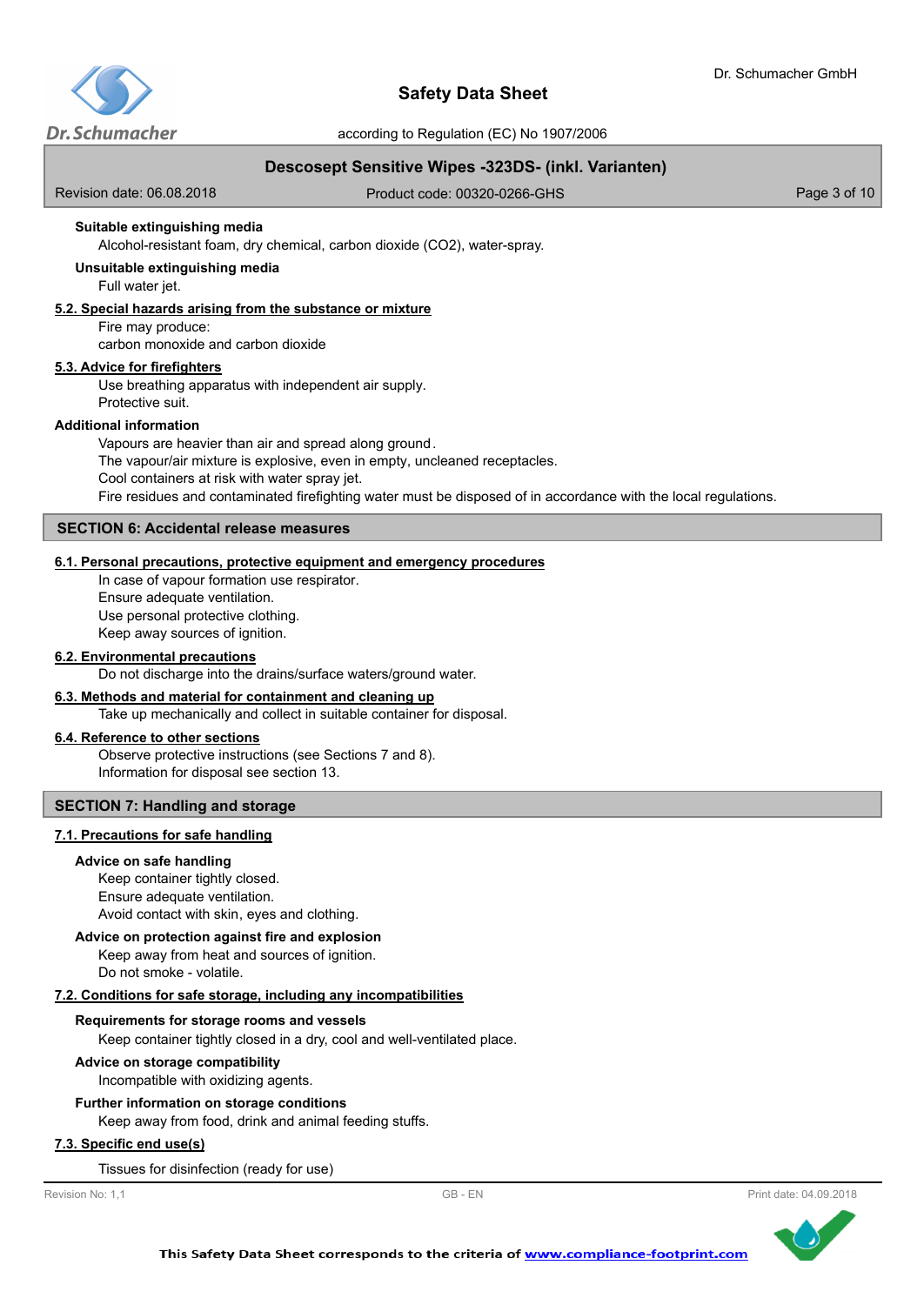

# **Descosept Sensitive Wipes -323DS- (inkl. Varianten)**

Revision date: 06.08.2018

Product code: 00320-0266-GHS Product code: 00320-0266-GHS

## **Suitable extinguishing media**

Alcohol-resistant foam, dry chemical, carbon dioxide (CO2), water-spray.

#### Full water jet. **Unsuitable extinguishing media**

#### **5.2. Special hazards arising from the substance or mixture**

Fire may produce:

carbon monoxide and carbon dioxide

#### **5.3. Advice for firefighters**

Use breathing apparatus with independent air supply. Protective suit.

#### **Additional information**

Vapours are heavier than air and spread along ground. The vapour/air mixture is explosive, even in empty, uncleaned receptacles. Cool containers at risk with water spray jet. Fire residues and contaminated firefighting water must be disposed of in accordance with the local regulations.

## **SECTION 6: Accidental release measures**

## **6.1. Personal precautions, protective equipment and emergency procedures**

In case of vapour formation use respirator. Ensure adequate ventilation. Use personal protective clothing. Keep away sources of ignition.

## **6.2. Environmental precautions**

Do not discharge into the drains/surface waters/ground water.

### **6.3. Methods and material for containment and cleaning up**

Take up mechanically and collect in suitable container for disposal.

#### **6.4. Reference to other sections**

Observe protective instructions (see Sections 7 and 8). Information for disposal see section 13.

## **SECTION 7: Handling and storage**

#### **7.1. Precautions for safe handling**

#### **Advice on safe handling**

Keep container tightly closed. Ensure adequate ventilation. Avoid contact with skin, eyes and clothing.

#### **Advice on protection against fire and explosion**

Keep away from heat and sources of ignition. Do not smoke - volatile.

## **7.2. Conditions for safe storage, including any incompatibilities**

#### **Requirements for storage rooms and vessels**

Keep container tightly closed in a dry, cool and well-ventilated place.

#### **Advice on storage compatibility**

Incompatible with oxidizing agents.

#### **Further information on storage conditions**

Keep away from food, drink and animal feeding stuffs.

## **7.3. Specific end use(s)**

Tissues for disinfection (ready for use)

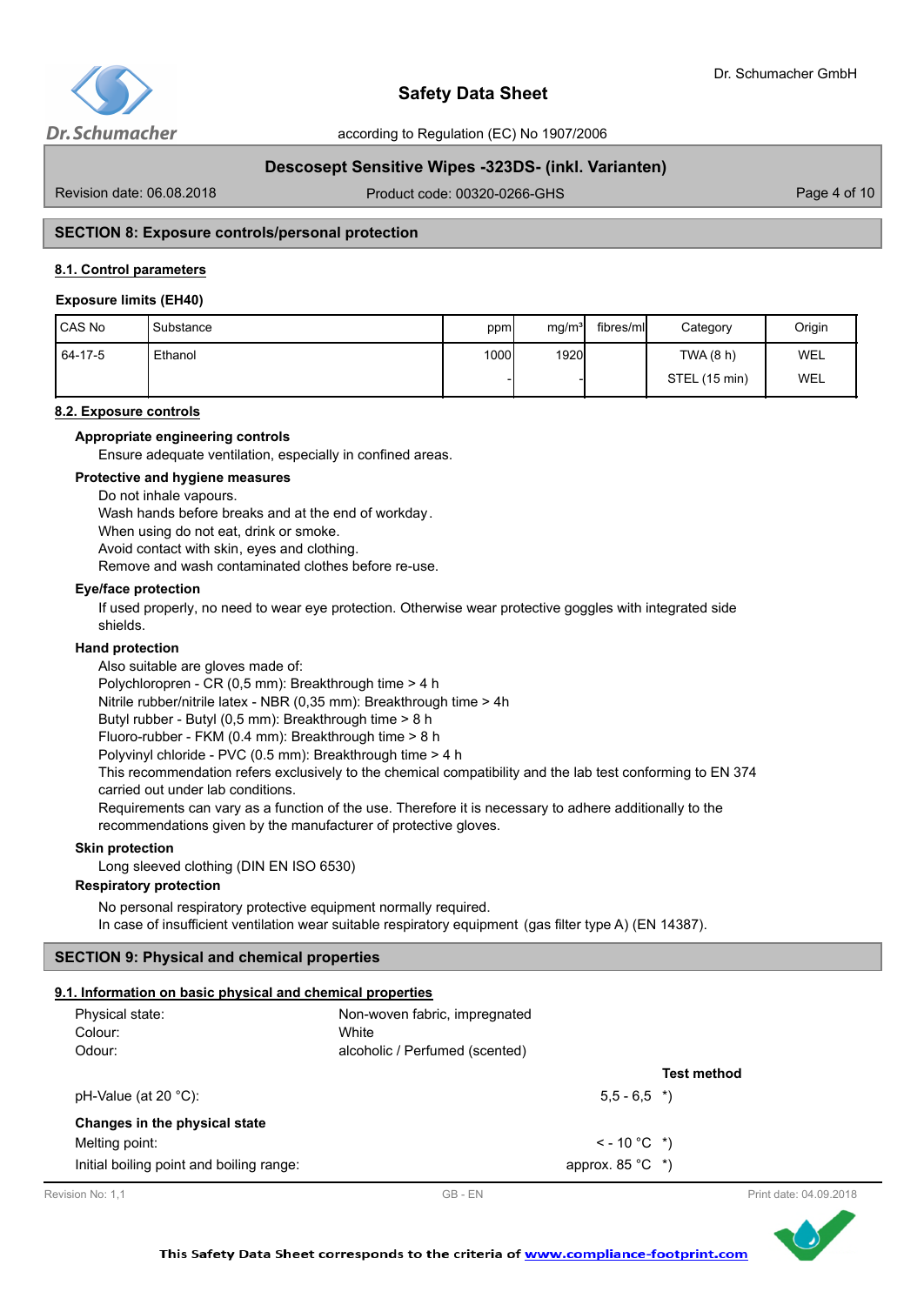

# **Descosept Sensitive Wipes -323DS- (inkl. Varianten)**

Revision date: 06.08.2018

Product code: 00320-0266-GHS Product code: 00320-0266-GHS

## **SECTION 8: Exposure controls/personal protection**

### **8.1. Control parameters**

#### **Exposure limits (EH40)**

| l CAS No  | Substance | ppm  | mg/m <sup>3</sup> | fibres/ml | Category      | Origin |
|-----------|-----------|------|-------------------|-----------|---------------|--------|
| $64-17-5$ | Ethanol   | 1000 | 1920              |           | TWA (8 h)     | WEL    |
|           |           |      |                   |           | STEL (15 min) | WEL    |

#### **8.2. Exposure controls**

#### **Appropriate engineering controls**

Ensure adequate ventilation, especially in confined areas.

# **Protective and hygiene measures**

Do not inhale vapours.

Wash hands before breaks and at the end of workday.

When using do not eat, drink or smoke.

Avoid contact with skin, eyes and clothing.

Remove and wash contaminated clothes before re-use.

#### **Eye/face protection**

If used properly, no need to wear eye protection. Otherwise wear protective goggles with integrated side shields.

#### **Hand protection**

Also suitable are gloves made of:

Polychloropren - CR (0,5 mm): Breakthrough time > 4 h

Nitrile rubber/nitrile latex - NBR (0,35 mm): Breakthrough time > 4h

Butyl rubber - Butyl (0,5 mm): Breakthrough time > 8 h

Fluoro-rubber - FKM (0.4 mm): Breakthrough time > 8 h

Polyvinyl chloride - PVC (0.5 mm): Breakthrough time > 4 h

This recommendation refers exclusively to the chemical compatibility and the lab test conforming to EN 374 carried out under lab conditions.

Requirements can vary as a function of the use. Therefore it is necessary to adhere additionally to the recommendations given by the manufacturer of protective gloves.

#### **Skin protection**

Long sleeved clothing (DIN EN ISO 6530)

## **Respiratory protection**

No personal respiratory protective equipment normally required. In case of insufficient ventilation wear suitable respiratory equipment (gas filter type A) (EN 14387).

#### **SECTION 9: Physical and chemical properties**

#### **9.1. Information on basic physical and chemical properties**

| Physical state:<br>Colour:<br>Odour:     | Non-woven fabric, impregnated<br>White<br>alcoholic / Perfumed (scented) |                    |
|------------------------------------------|--------------------------------------------------------------------------|--------------------|
|                                          |                                                                          | <b>Test method</b> |
| pH-Value (at $20 °C$ ):                  | $5.5 - 6.5$ *)                                                           |                    |
| Changes in the physical state            |                                                                          |                    |
| Melting point:                           | $\le$ - 10 °C $\rightarrow$ )                                            |                    |
| Initial boiling point and boiling range: | approx. $85^{\circ}$ C *)                                                |                    |



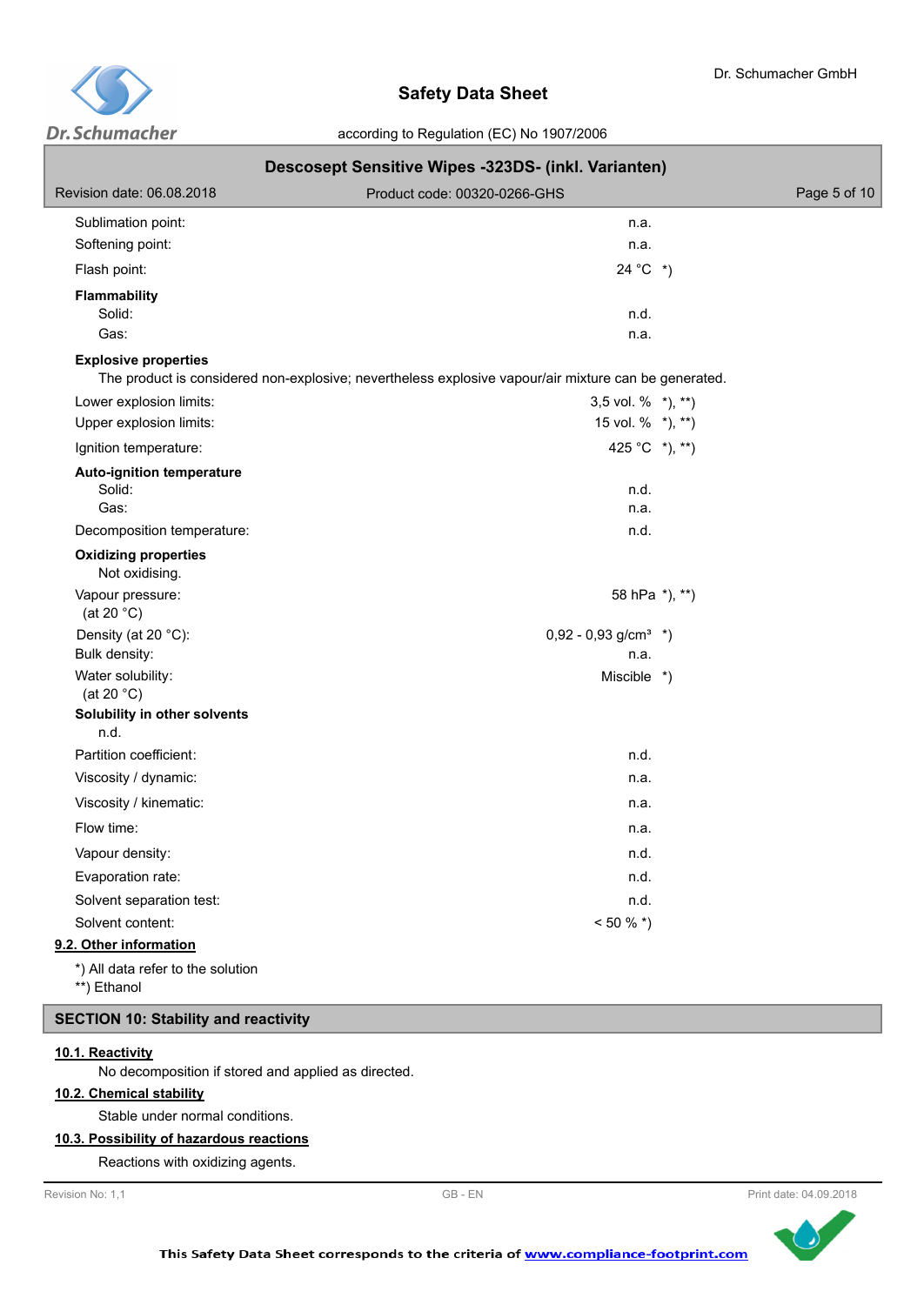

|                                                    | Descosept Sensitive Wipes -323DS- (inkl. Varianten)                                                  |              |
|----------------------------------------------------|------------------------------------------------------------------------------------------------------|--------------|
| Revision date: 06.08.2018                          | Product code: 00320-0266-GHS                                                                         | Page 5 of 10 |
| Sublimation point:                                 | n.a.                                                                                                 |              |
| Softening point:                                   | n.a.                                                                                                 |              |
| Flash point:                                       | $24 °C$ *)                                                                                           |              |
| <b>Flammability</b><br>Solid:                      | n.d.                                                                                                 |              |
| Gas:                                               | n.a.                                                                                                 |              |
| <b>Explosive properties</b>                        | The product is considered non-explosive; nevertheless explosive vapour/air mixture can be generated. |              |
| Lower explosion limits:                            | 3,5 vol. $%$ *), **)                                                                                 |              |
| Upper explosion limits:                            | 15 vol. % *), **)                                                                                    |              |
| Ignition temperature:                              | 425 °C $*$ ), $**$ )                                                                                 |              |
| <b>Auto-ignition temperature</b><br>Solid:<br>Gas: | n.d.<br>n.a.                                                                                         |              |
| Decomposition temperature:                         | n.d.                                                                                                 |              |
| <b>Oxidizing properties</b><br>Not oxidising.      |                                                                                                      |              |
| Vapour pressure:<br>(at 20 $°C$ )                  | 58 hPa *), **)                                                                                       |              |
| Density (at 20 °C):<br>Bulk density:               | $0,92 - 0,93$ g/cm <sup>3</sup> *)<br>n.a.                                                           |              |
| Water solubility:<br>(at 20 $^{\circ}$ C)          | Miscible *)                                                                                          |              |
| Solubility in other solvents<br>n.d.               |                                                                                                      |              |
| Partition coefficient:                             | n.d.                                                                                                 |              |
| Viscosity / dynamic:                               | n.a.                                                                                                 |              |
| Viscosity / kinematic:                             | n.a.                                                                                                 |              |
| Flow time:                                         | n.a.                                                                                                 |              |
| Vapour density:                                    | n.d.                                                                                                 |              |
| Evaporation rate:                                  | n.d.                                                                                                 |              |
| Solvent separation test:                           | n.d.                                                                                                 |              |
| Solvent content:                                   | $< 50 \%$ *)                                                                                         |              |
| 9.2. Other information                             |                                                                                                      |              |
| *) All data refer to the solution<br>**) Ethanol   |                                                                                                      |              |
| <b>SECTION 10: Stability and reactivity</b>        |                                                                                                      |              |

# **10.1. Reactivity**

No decomposition if stored and applied as directed.

## **10.2. Chemical stability**

Stable under normal conditions.

# **10.3. Possibility of hazardous reactions**

Reactions with oxidizing agents.



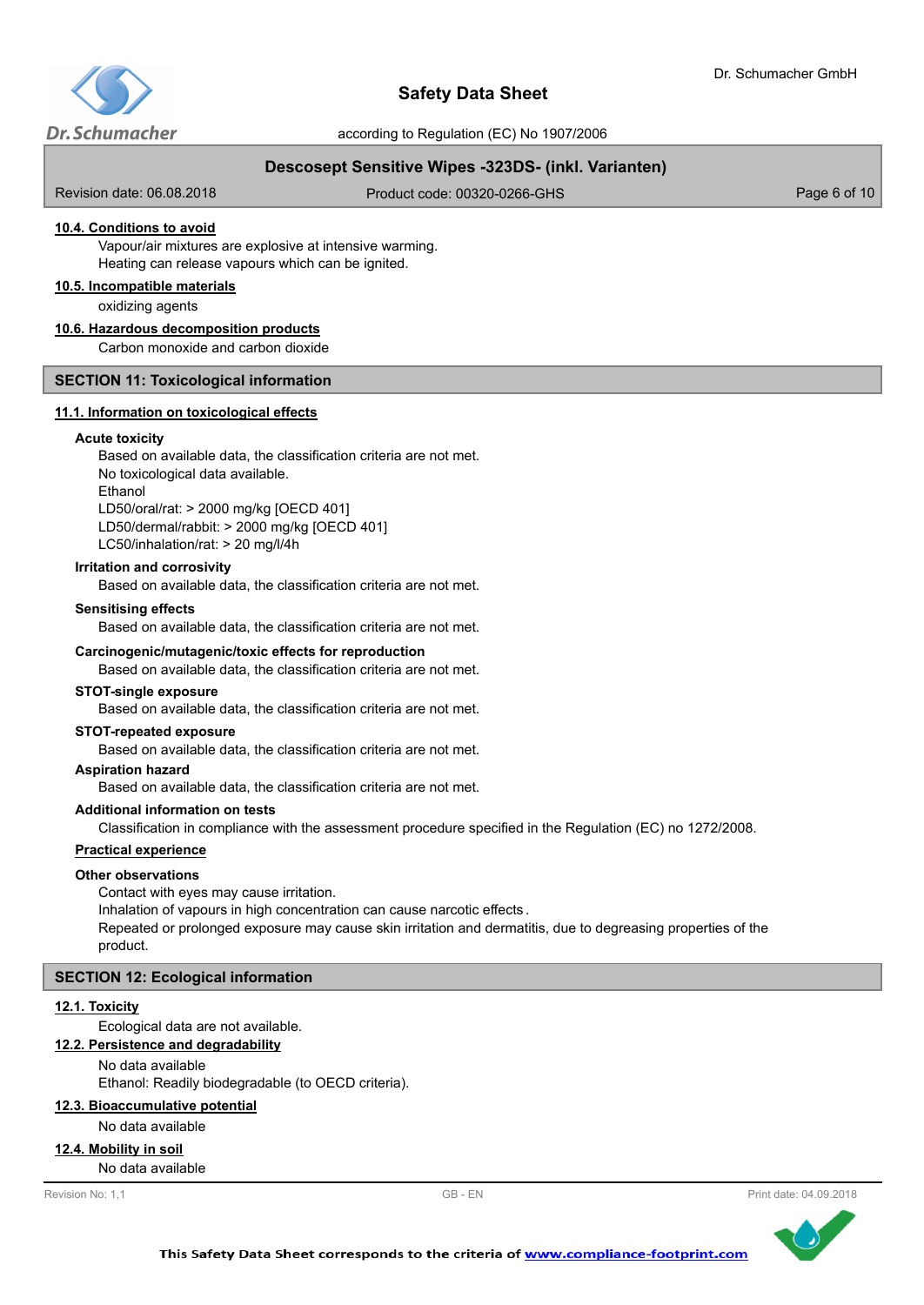

# **Descosept Sensitive Wipes -323DS- (inkl. Varianten)**

Revision date: 06.08.2018

Product code: 00320-0266-GHS Product code: 00320-0266-GHS

## **10.4. Conditions to avoid**

Vapour/air mixtures are explosive at intensive warming. Heating can release vapours which can be ignited.

#### **10.5. Incompatible materials**

oxidizing agents

#### **10.6. Hazardous decomposition products**

Carbon monoxide and carbon dioxide

## **SECTION 11: Toxicological information**

## **11.1. Information on toxicological effects**

#### **Acute toxicity**

Based on available data, the classification criteria are not met. No toxicological data available. Ethanol LD50/oral/rat: > 2000 mg/kg [OECD 401] LD50/dermal/rabbit: > 2000 mg/kg [OECD 401] LC50/inhalation/rat: > 20 mg/l/4h

#### **Irritation and corrosivity**

Based on available data, the classification criteria are not met.

#### **Sensitising effects**

Based on available data, the classification criteria are not met.

#### **Carcinogenic/mutagenic/toxic effects for reproduction**

Based on available data, the classification criteria are not met.

#### **STOT-single exposure**

Based on available data, the classification criteria are not met.

#### **STOT-repeated exposure**

Based on available data, the classification criteria are not met.

#### **Aspiration hazard**

Based on available data, the classification criteria are not met.

#### **Additional information on tests**

Classification in compliance with the assessment procedure specified in the Regulation (EC) no 1272/2008.

#### **Practical experience**

#### **Other observations**

Contact with eyes may cause irritation.

Inhalation of vapours in high concentration can cause narcotic effects .

Repeated or prolonged exposure may cause skin irritation and dermatitis, due to degreasing properties of the product.

#### **SECTION 12: Ecological information**

#### **12.1. Toxicity**

Ecological data are not available.

## **12.2. Persistence and degradability**

No data available

Ethanol: Readily biodegradable (to OECD criteria).

#### **12.3. Bioaccumulative potential**

No data available

#### **12.4. Mobility in soil**

No data available



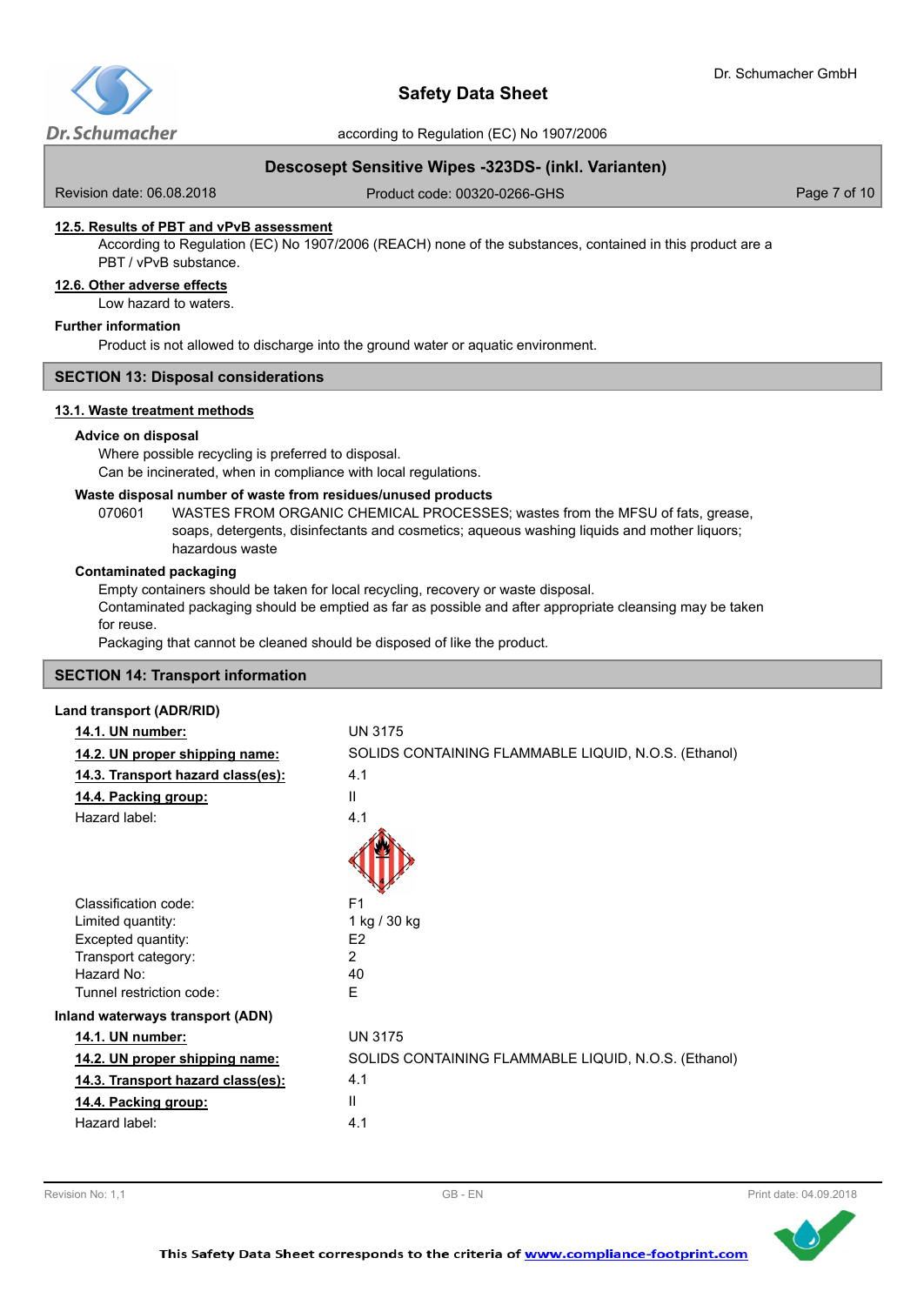

according to Regulation (EC) No 1907/2006

# **Descosept Sensitive Wipes -323DS- (inkl. Varianten)**

Revision date: 06.08.2018

Product code: 00320-0266-GHS Product code: 00320-0266-GHS

### **12.5. Results of PBT and vPvB assessment**

According to Regulation (EC) No 1907/2006 (REACH) none of the substances, contained in this product are a PBT / vPvB substance.

#### **12.6. Other adverse effects**

Low hazard to waters.

## **Further information**

Product is not allowed to discharge into the ground water or aquatic environment.

### **SECTION 13: Disposal considerations**

#### **13.1. Waste treatment methods**

#### **Advice on disposal**

Where possible recycling is preferred to disposal. Can be incinerated, when in compliance with local regulations.

#### **Waste disposal number of waste from residues/unused products**

070601 WASTES FROM ORGANIC CHEMICAL PROCESSES; wastes from the MFSU of fats, grease, soaps, detergents, disinfectants and cosmetics; aqueous washing liquids and mother liquors; hazardous waste

#### **Contaminated packaging**

Empty containers should be taken for local recycling, recovery or waste disposal.

Contaminated packaging should be emptied as far as possible and after appropriate cleansing may be taken for reuse.

Packaging that cannot be cleaned should be disposed of like the product.

#### **SECTION 14: Transport information**

## **Land transport (ADR/RID)**

| 14.1. UN number:                  | <b>UN 3175</b>                                       |
|-----------------------------------|------------------------------------------------------|
| 14.2. UN proper shipping name:    | SOLIDS CONTAINING FLAMMABLE LIQUID, N.O.S. (Ethanol) |
| 14.3. Transport hazard class(es): | 4.1                                                  |
| 14.4. Packing group:              | $\mathbf{I}$                                         |
| Hazard label:                     | 4.1                                                  |
|                                   |                                                      |
| Classification code:              | F <sub>1</sub>                                       |
| Limited quantity:                 | 1 kg / 30 kg                                         |
| Excepted quantity:                | E <sub>2</sub>                                       |
| Transport category:               | $\mathcal{P}$                                        |
| Hazard No:                        | 40                                                   |
| Tunnel restriction code:          | F                                                    |
| Inland waterways transport (ADN)  |                                                      |
| 14.1. UN number:                  | <b>UN 3175</b>                                       |
| 14.2. UN proper shipping name:    | SOLIDS CONTAINING FLAMMABLE LIQUID, N.O.S. (Ethanol) |
| 14.3. Transport hazard class(es): | 4.1                                                  |
| 14.4. Packing group:              | $\mathbf{H}$                                         |
| Hazard label:                     | 4.1                                                  |
|                                   |                                                      |

Revision No: 1,1 **CONFIDENTIAL CONFIDENT** CB - EN **CONFIDENTIAL CONFIDENTIAL CONFIDENTIAL CONFIDENTIAL CONFIDENTIAL CONFIDENTIAL CONFIDENTIAL CONFIDENTIAL CONFIDENTIAL CONFIDENTIAL CONFIDENTIAL CONFIDENTIAL CONFIDENTIAL CO** 

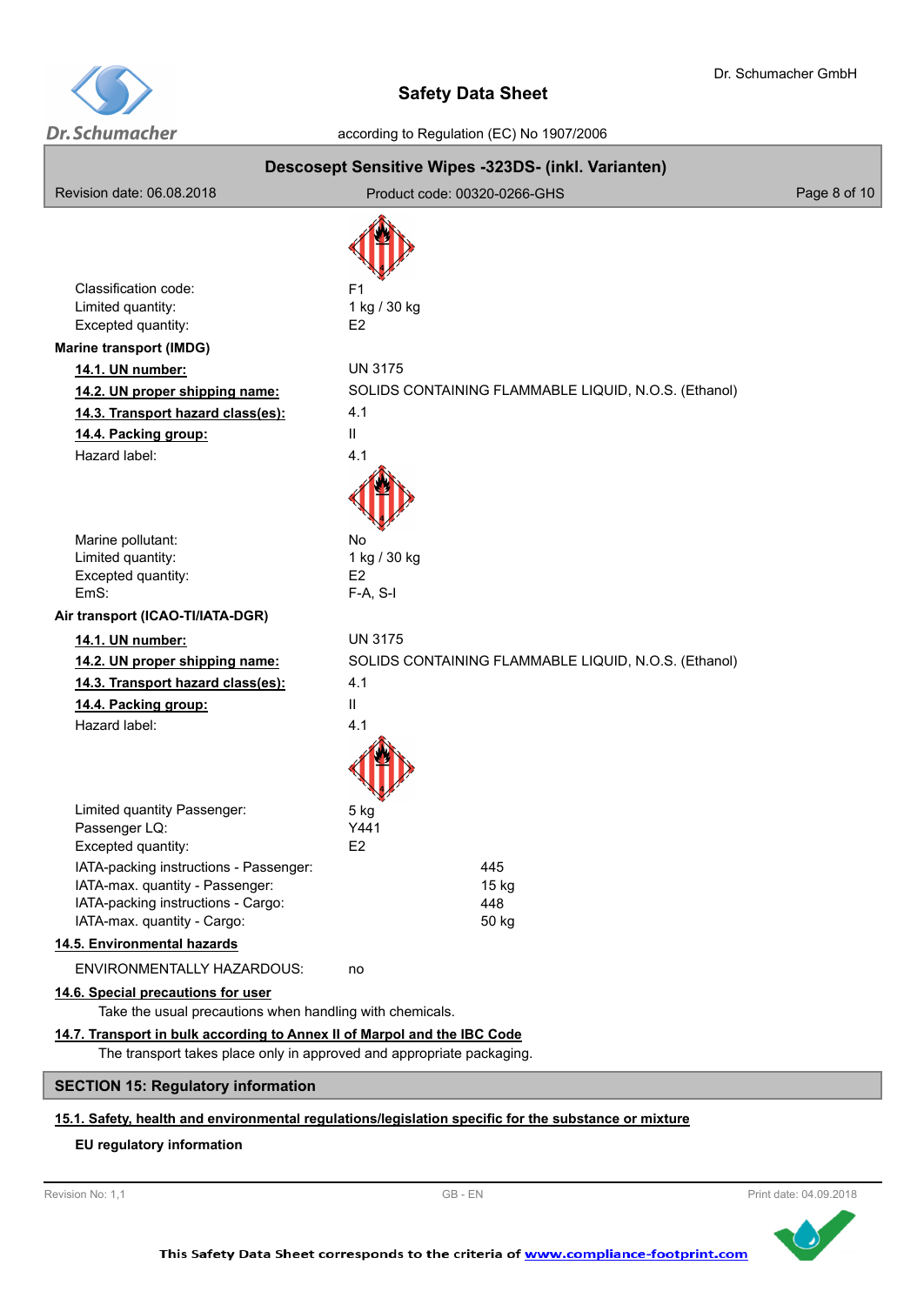

according to Regulation (EC) No 1907/2006

| Revision date: 06.08.2018                                                                                                                                                                                                                           | Descosept Sensitive Wipes -323DS- (inkl. Varianten)<br>Product code: 00320-0266-GHS       | Page 8 of 10 |
|-----------------------------------------------------------------------------------------------------------------------------------------------------------------------------------------------------------------------------------------------------|-------------------------------------------------------------------------------------------|--------------|
|                                                                                                                                                                                                                                                     |                                                                                           |              |
| Classification code:<br>Limited quantity:<br>Excepted quantity:                                                                                                                                                                                     | F1<br>1 kg / 30 kg<br>E <sub>2</sub>                                                      |              |
| <b>Marine transport (IMDG)</b><br>14.1. UN number:<br>14.2. UN proper shipping name:<br>14.3. Transport hazard class(es):<br>14.4. Packing group:<br>Hazard label:                                                                                  | <b>UN 3175</b><br>SOLIDS CONTAINING FLAMMABLE LIQUID, N.O.S. (Ethanol)<br>4.1<br>Ш<br>4.1 |              |
| Marine pollutant:<br>Limited quantity:<br>Excepted quantity:<br>FmS:                                                                                                                                                                                | No<br>1 kg / 30 kg<br>E <sub>2</sub><br>$F-A, S-I$                                        |              |
| Air transport (ICAO-TI/IATA-DGR)                                                                                                                                                                                                                    |                                                                                           |              |
| 14.1. UN number:<br>14.2. UN proper shipping name:<br>14.3. Transport hazard class(es):<br>14.4. Packing group:<br>Hazard label:                                                                                                                    | <b>UN 3175</b><br>SOLIDS CONTAINING FLAMMABLE LIQUID, N.O.S. (Ethanol)<br>4.1<br>Ш<br>4.1 |              |
| Limited quantity Passenger:<br>Passenger LQ:<br>Excepted quantity:<br>IATA-packing instructions - Passenger:<br>IATA-max. quantity - Passenger:<br>IATA-packing instructions - Cargo:<br>IATA-max. quantity - Cargo:<br>14.5. Environmental hazards | 5 kg<br>Y441<br>E2<br>445<br>15 kg<br>448<br>50 kg                                        |              |
| ENVIRONMENTALLY HAZARDOUS:                                                                                                                                                                                                                          | no                                                                                        |              |
| 14.6. Special precautions for user<br>Take the usual precautions when handling with chemicals.                                                                                                                                                      |                                                                                           |              |
| 14.7. Transport in bulk according to Annex II of Marpol and the IBC Code<br>The transport takes place only in approved and appropriate packaging.                                                                                                   |                                                                                           |              |
| <b>SECTION 15: Regulatory information</b>                                                                                                                                                                                                           |                                                                                           |              |

# **15.1. Safety, health and environmental regulations/legislation specific for the substance or mixture**

## **EU regulatory information**



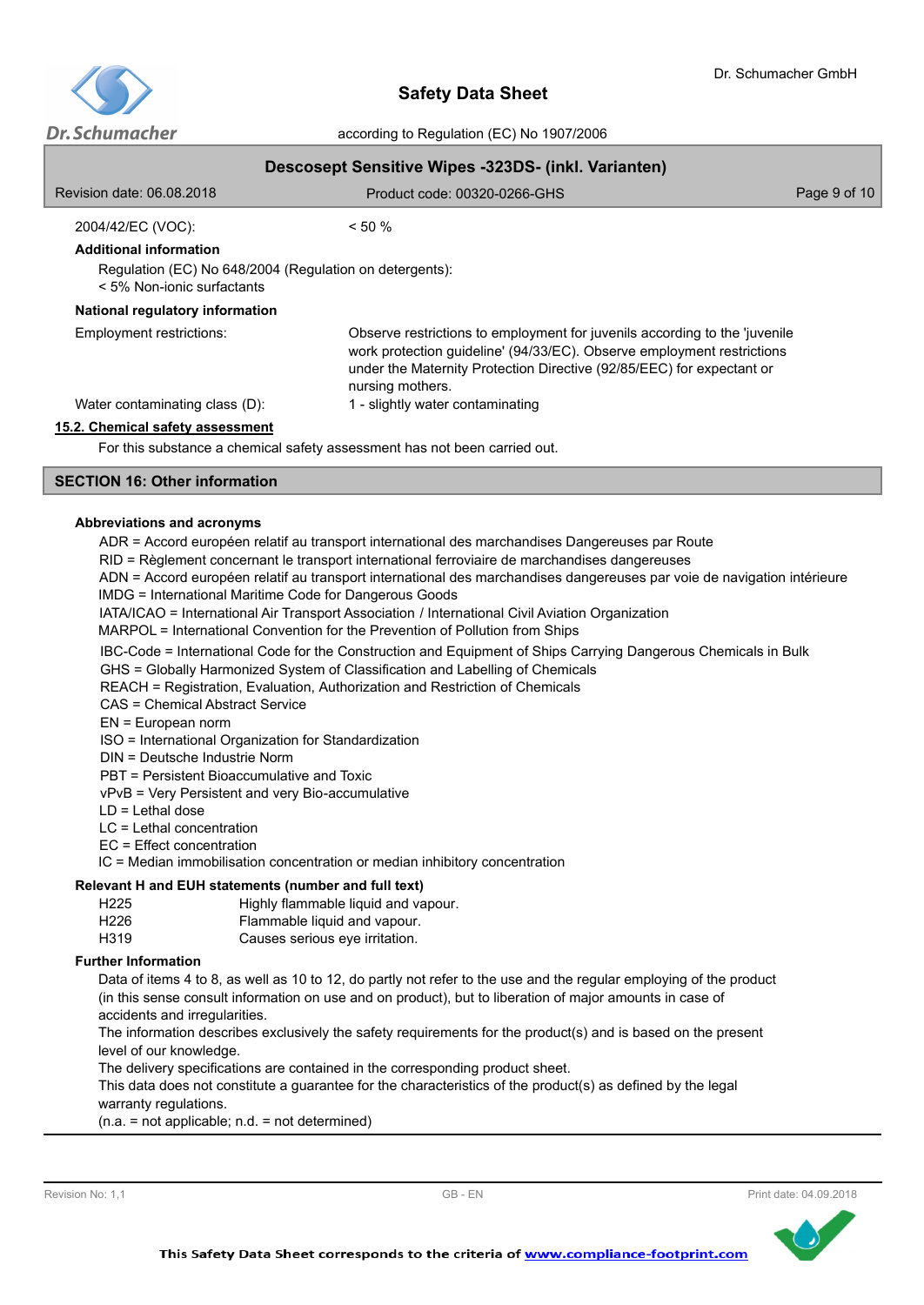

# **Descosept Sensitive Wipes -323DS- (inkl. Varianten)**

| Revision date: 06.08.2018                                                               | Product code: 00320-0266-GHS                                                                                                                                                                                                                      | Page 9 of 10 |
|-----------------------------------------------------------------------------------------|---------------------------------------------------------------------------------------------------------------------------------------------------------------------------------------------------------------------------------------------------|--------------|
| 2004/42/EC (VOC):                                                                       | $< 50 \%$                                                                                                                                                                                                                                         |              |
| <b>Additional information</b>                                                           |                                                                                                                                                                                                                                                   |              |
| Regulation (EC) No 648/2004 (Regulation on detergents):<br>$<$ 5% Non-ionic surfactants |                                                                                                                                                                                                                                                   |              |
| National regulatory information                                                         |                                                                                                                                                                                                                                                   |              |
| Employment restrictions:                                                                | Observe restrictions to employment for juvenils according to the 'juvenile<br>work protection guideline' (94/33/EC). Observe employment restrictions<br>under the Maternity Protection Directive (92/85/EEC) for expectant or<br>nursing mothers. |              |
| Water contaminating class (D):                                                          | 1 - slightly water contaminating                                                                                                                                                                                                                  |              |
| 15.2. Chemical safety assessment                                                        |                                                                                                                                                                                                                                                   |              |
| For this substance a chemical safety assessment has not been carried out.               |                                                                                                                                                                                                                                                   |              |

For this substance a chemical safety assessment has not been carried out.

# **SECTION 16: Other information**

### **Abbreviations and acronyms**

ADR = Accord européen relatif au transport international des marchandises Dangereuses par Route

- RID = Règlement concernant le transport international ferroviaire de marchandises dangereuses
- ADN = Accord européen relatif au transport international des marchandises dangereuses par voie de navigation intérieure IMDG = International Maritime Code for Dangerous Goods
- IATA/ICAO = International Air Transport Association / International Civil Aviation Organization

MARPOL = International Convention for the Prevention of Pollution from Ships

IBC-Code = International Code for the Construction and Equipment of Ships Carrying Dangerous Chemicals in Bulk

GHS = Globally Harmonized System of Classification and Labelling of Chemicals

REACH = Registration, Evaluation, Authorization and Restriction of Chemicals

CAS = Chemical Abstract Service

EN = European norm

ISO = International Organization for Standardization

DIN = Deutsche Industrie Norm

PBT = Persistent Bioaccumulative and Toxic

vPvB = Very Persistent and very Bio-accumulative

- LD = Lethal dose
- LC = Lethal concentration
- EC = Effect concentration

IC = Median immobilisation concentration or median inhibitory concentration

#### **Relevant H and EUH statements (number and full text)**

| H <sub>225</sub><br>Highly flammable liquid and vapour. |  |  |
|---------------------------------------------------------|--|--|
|                                                         |  |  |

H226 Flammable liquid and vapour. H319 Causes serious eye irritation.

#### **Further Information**

Data of items 4 to 8, as well as 10 to 12, do partly not refer to the use and the regular employing of the product (in this sense consult information on use and on product), but to liberation of major amounts in case of accidents and irregularities.

The information describes exclusively the safety requirements for the product(s) and is based on the present level of our knowledge.

The delivery specifications are contained in the corresponding product sheet.

This data does not constitute a guarantee for the characteristics of the product(s) as defined by the legal warranty regulations.

(n.a. = not applicable; n.d. = not determined)